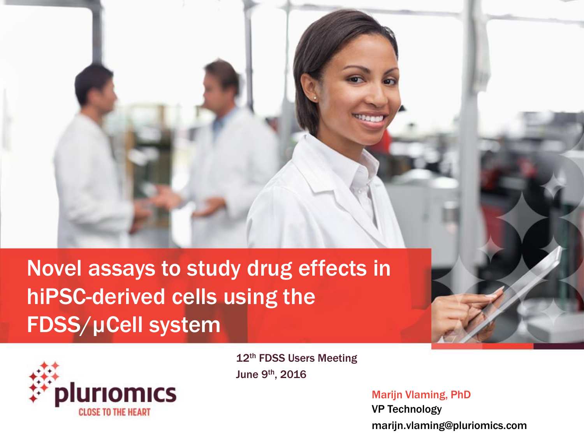## Novel assays to study drug effects in hiPSC-derived cells using the FDSS/µCell system



12<sup>th</sup> FDSS Users Meeting June 9th, 2016

> Marijn Vlaming, PhD VP Technology marijn.vlaming@pluriomics.com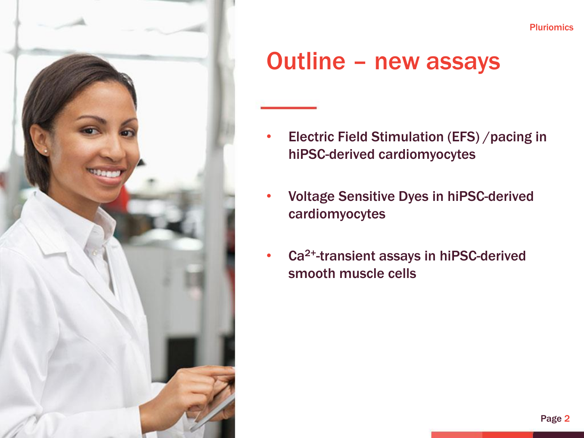

## Outline – new assays

- Electric Field Stimulation (EFS) /pacing in hiPSC-derived cardiomyocytes
- Voltage Sensitive Dyes in hiPSC-derived cardiomyocytes
- Ca<sup>2+</sup>-transient assays in hiPSC-derived smooth muscle cells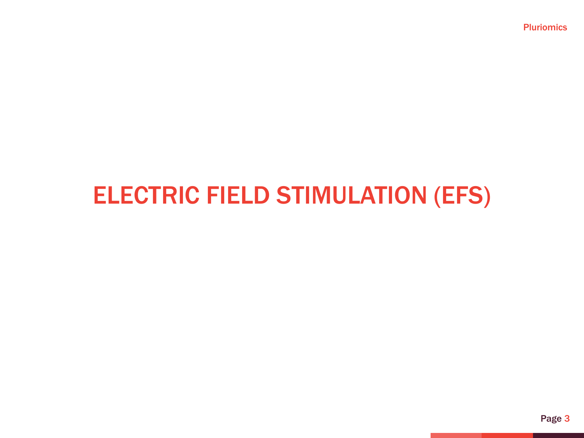## ELECTRIC FIELD STIMULATION (EFS)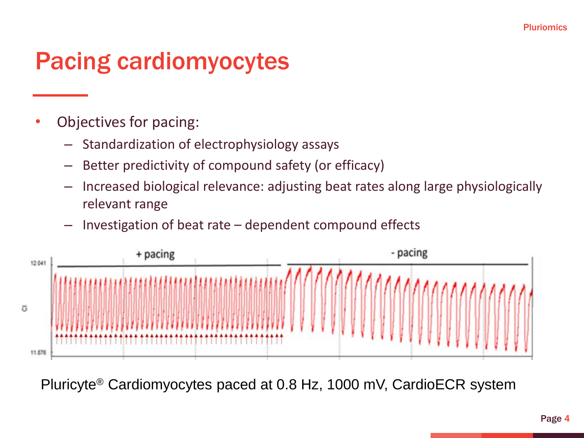## Pacing cardiomyocytes

- Objectives for pacing:
	- Standardization of electrophysiology assays
	- Better predictivity of compound safety (or efficacy)
	- Increased biological relevance: adjusting beat rates along large physiologically relevant range
	- Investigation of beat rate  $-$  dependent compound effects



Pluricyte® Cardiomyocytes paced at 0.8 Hz, 1000 mV, CardioECR system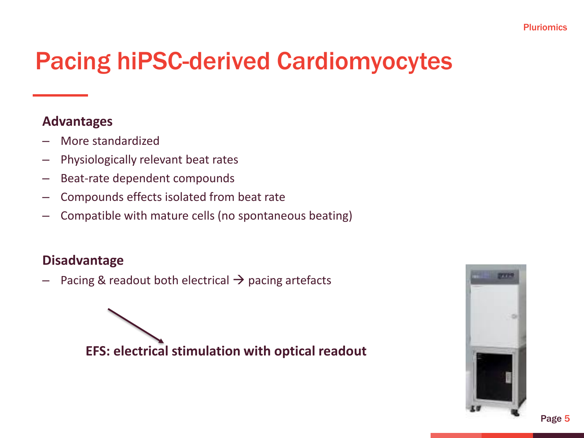## Pacing hiPSC-derived Cardiomyocytes

#### **Advantages**

- More standardized
- Physiologically relevant beat rates
- Beat-rate dependent compounds
- Compounds effects isolated from beat rate
- Compatible with mature cells (no spontaneous beating)

#### **Disadvantage**

 $-$  Pacing & readout both electrical  $\rightarrow$  pacing artefacts

**EFS: electrical stimulation with optical readout** 

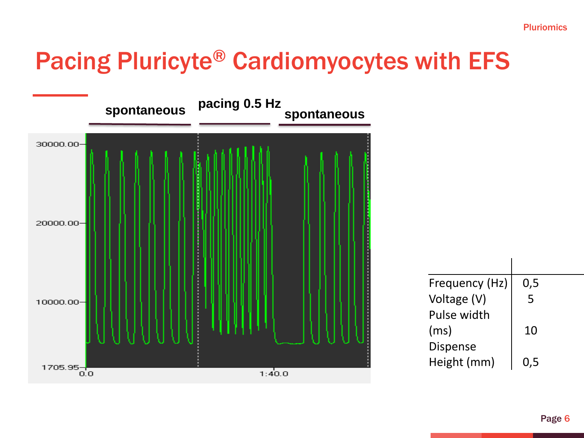## Pacing Pluricyte® Cardiomyocytes with EFS



| Frequency (Hz)  | 0,5 |
|-----------------|-----|
| Voltage (V)     | 5   |
| Pulse width     |     |
| (ms)            | 10  |
| <b>Dispense</b> |     |
| Height (mm)     | 0.5 |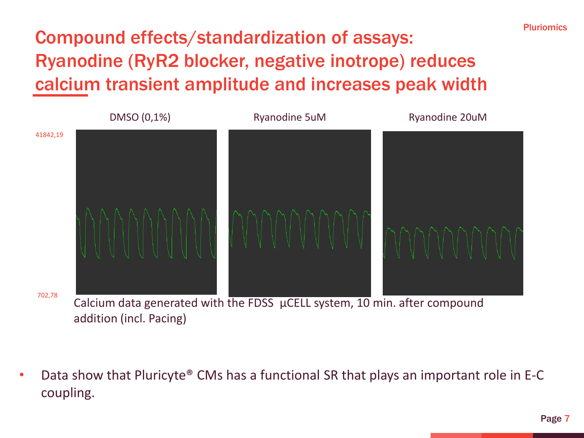### Compound effects/standardization of assays: Ryanodine (RyR2 blocker, negative inotrope) reduces calcium transient amplitude and increases peak width



addition (incl. Pacing)

• Data show that Pluricyte® CMs has a functional SR that plays an important role in E-C coupling.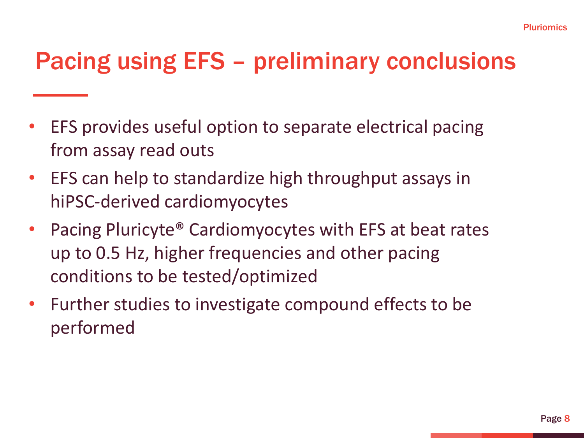## Pacing using EFS – preliminary conclusions

- EFS provides useful option to separate electrical pacing from assay read outs
- EFS can help to standardize high throughput assays in hiPSC-derived cardiomyocytes
- Pacing Pluricyte<sup>®</sup> Cardiomyocytes with EFS at beat rates up to 0.5 Hz, higher frequencies and other pacing conditions to be tested/optimized
- Further studies to investigate compound effects to be performed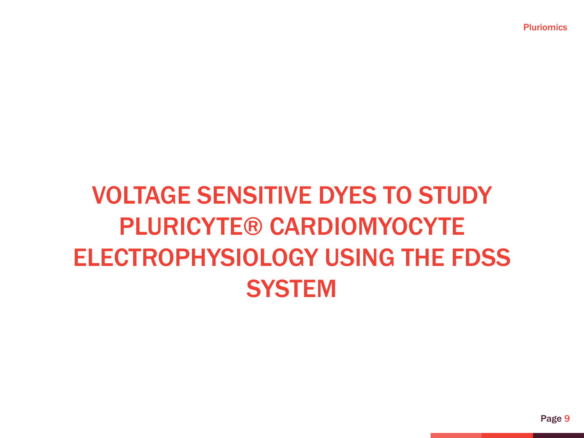# VOLTAGE SENSITIVE DYES TO STUDY PLURICYTE® CARDIOMYOCYTE ELECTROPHYSIOLOGY USING THE FDSS **SYSTEM**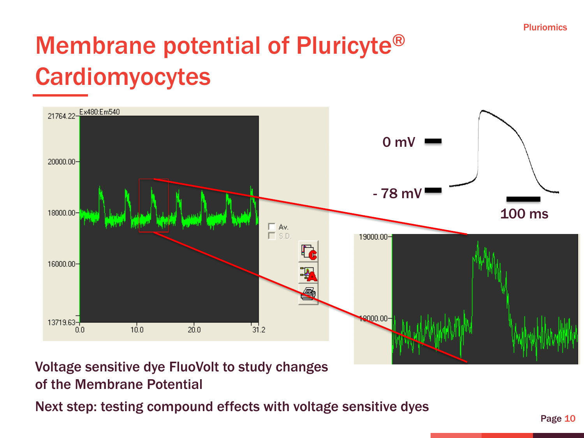## Membrane potential of Pluricyte® Cardiomyocytes



### Voltage sensitive dye FluoVolt to study changes of the Membrane Potential

Next step: testing compound effects with voltage sensitive dyes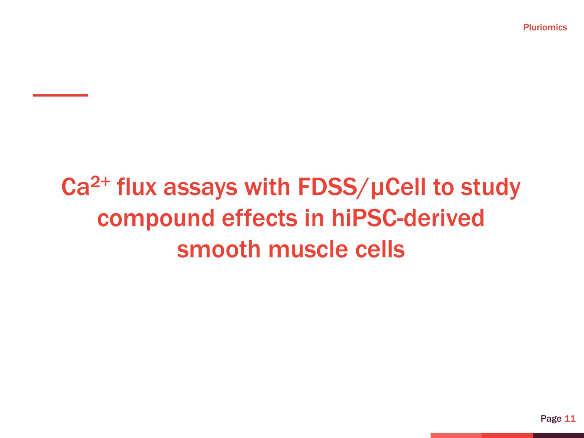# Ca<sup>2+</sup> flux assays with FDSS/uCell to study compound effects in hiPSC-derived smooth muscle cells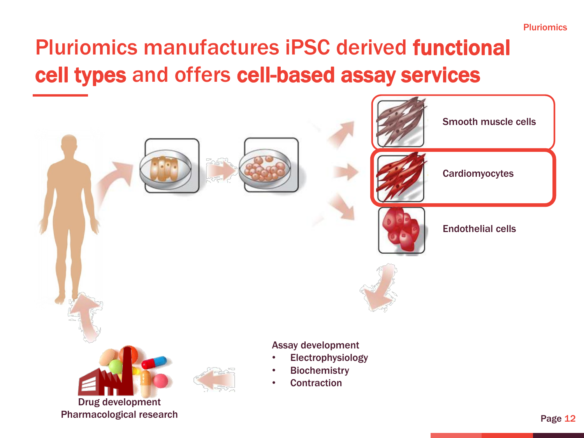## Pluriomics manufactures iPSC derived functional cell types and offers cell-based assay services

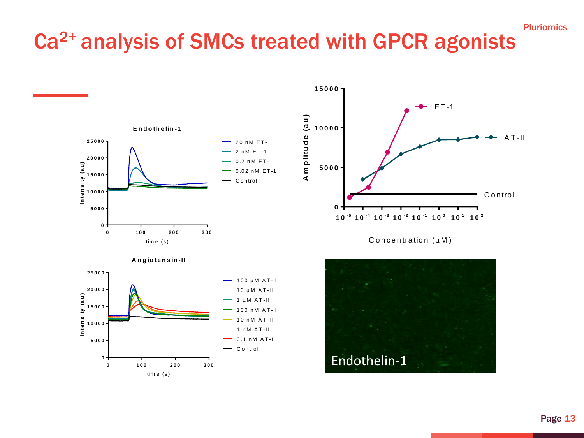### Ca2+ analysis of SMCs treated with GPCR agonists

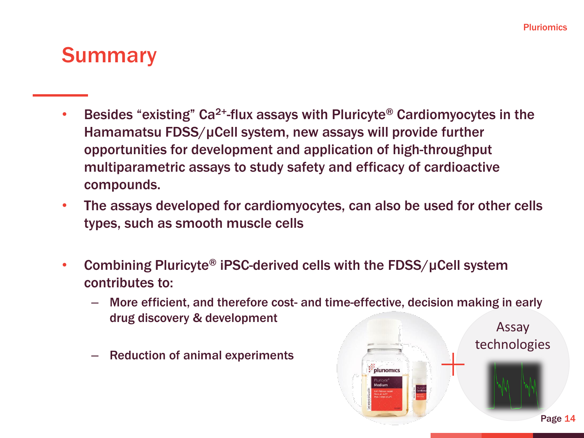### **Summary**

- **•** Besides "existing" Ca<sup>2+</sup>-flux assays with Pluricyte® Cardiomyocytes in the Hamamatsu FDSS/µCell system, new assays will provide further opportunities for development and application of high-throughput multiparametric assays to study safety and efficacy of cardioactive compounds.
- The assays developed for cardiomyocytes, can also be used for other cells types, such as smooth muscle cells
- Combining Pluricyte<sup>®</sup> iPSC-derived cells with the FDSS/ $\mu$ Cell system contributes to:
	- More efficient, and therefore cost- and time-effective, decision making in early drug discovery & development Assay

: **pluriomics** 

– Reduction of animal experiments

technologies